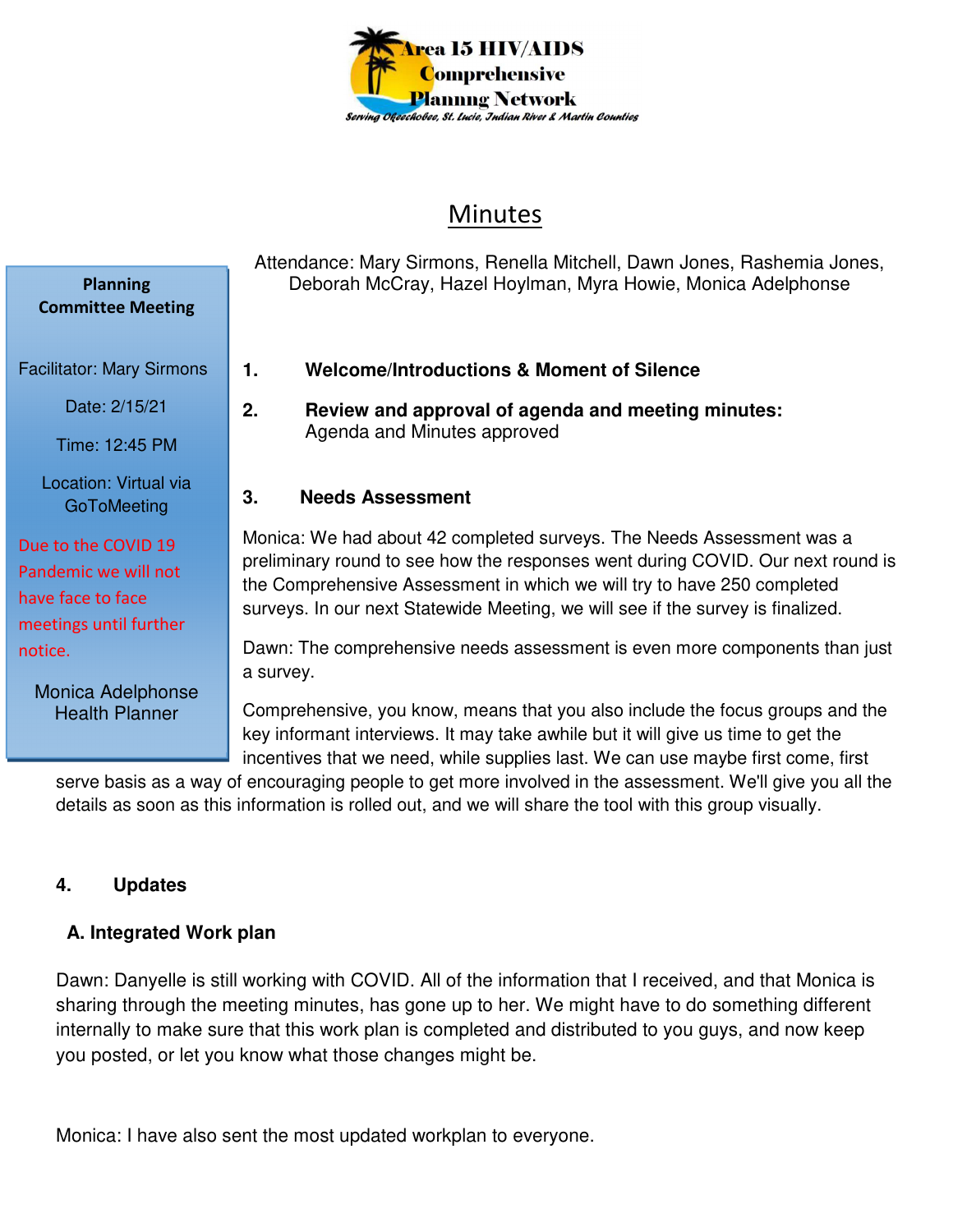

# Minutes

Attendance: Mary Sirmons, Renella Mitchell, Dawn Jones, Rashemia Jones, Deborah McCray, Hazel Hoylman, Myra Howie, Monica Adelphonse

- **1. Welcome/Introductions & Moment of Silence**
- **2. Review and approval of agenda and meeting minutes:**  Agenda and Minutes approved

#### **3. Needs Assessment**

Monica: We had about 42 completed surveys. The Needs Assessment was a preliminary round to see how the responses went during COVID. Our next round is the Comprehensive Assessment in which we will try to have 250 completed surveys. In our next Statewide Meeting, we will see if the survey is finalized.

Dawn: The comprehensive needs assessment is even more components than just a survey.

Comprehensive, you know, means that you also include the focus groups and the key informant interviews. It may take awhile but it will give us time to get the incentives that we need, while supplies last. We can use maybe first come, first

serve basis as a way of encouraging people to get more involved in the assessment. We'll give you all the details as soon as this information is rolled out, and we will share the tool with this group visually.

## **4. Updates**

## **A. Integrated Work plan**

Dawn: Danyelle is still working with COVID. All of the information that I received, and that Monica is sharing through the meeting minutes, has gone up to her. We might have to do something different internally to make sure that this work plan is completed and distributed to you guys, and now keep you posted, or let you know what those changes might be.

Monica: I have also sent the most updated workplan to everyone.

Date: 2/15/21 Time: 12:45 PM Location: Virtual via **GoToMeeting** Due to the COVID 19 Pandemic we will not have face to face meetings until further

**Planning Committee Meeting** 

Facilitator: Mary Sirmons

Monica Adelphonse Health Planner

notice.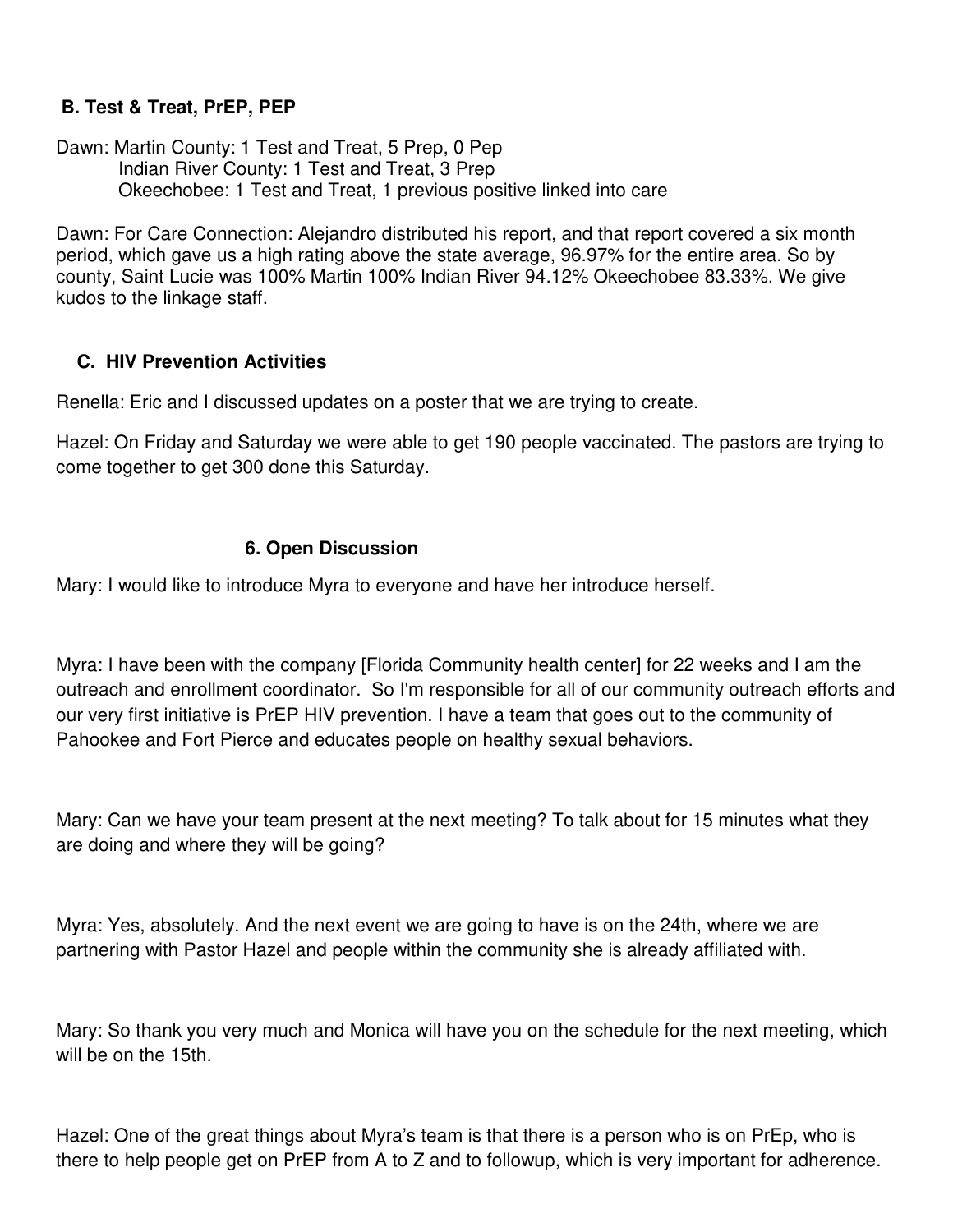## **B. Test & Treat, PrEP, PEP**

Dawn: Martin County: 1 Test and Treat, 5 Prep, 0 Pep Indian River County: 1 Test and Treat, 3 Prep Okeechobee: 1 Test and Treat, 1 previous positive linked into care

Dawn: For Care Connection: Alejandro distributed his report, and that report covered a six month period, which gave us a high rating above the state average, 96.97% for the entire area. So by county, Saint Lucie was 100% Martin 100% Indian River 94.12% Okeechobee 83.33%. We give kudos to the linkage staff.

## **C. HIV Prevention Activities**

Renella: Eric and I discussed updates on a poster that we are trying to create.

Hazel: On Friday and Saturday we were able to get 190 people vaccinated. The pastors are trying to come together to get 300 done this Saturday.

## **6. Open Discussion**

Mary: I would like to introduce Myra to everyone and have her introduce herself.

Myra: I have been with the company [Florida Community health center] for 22 weeks and I am the outreach and enrollment coordinator. So I'm responsible for all of our community outreach efforts and our very first initiative is PrEP HIV prevention. I have a team that goes out to the community of Pahookee and Fort Pierce and educates people on healthy sexual behaviors.

Mary: Can we have your team present at the next meeting? To talk about for 15 minutes what they are doing and where they will be going?

Myra: Yes, absolutely. And the next event we are going to have is on the 24th, where we are partnering with Pastor Hazel and people within the community she is already affiliated with.

Mary: So thank you very much and Monica will have you on the schedule for the next meeting, which will be on the 15th.

Hazel: One of the great things about Myra's team is that there is a person who is on PrEp, who is there to help people get on PrEP from A to Z and to followup, which is very important for adherence.